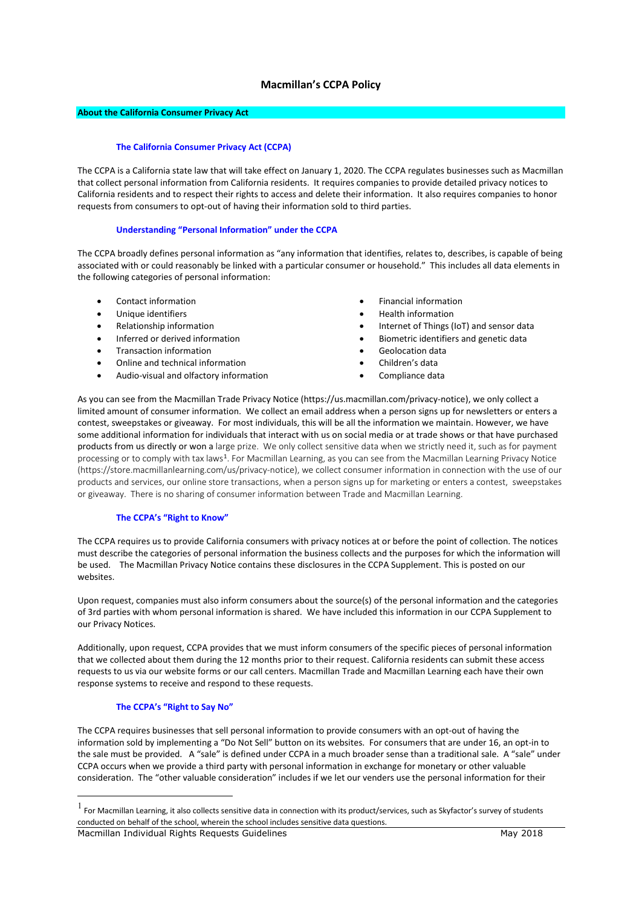# **Macmillan's CCPA Policy**

## **About the California Consumer Privacy Act**

#### **The California Consumer Privacy Act (CCPA)**

The CCPA is a California state law that will take effect on January 1, 2020. The CCPA regulates businesses such as Macmillan that collect personal information from California residents. It requires companies to provide detailed privacy notices to California residents and to respect their rights to access and delete their information. It also requires companies to honor requests from consumers to opt-out of having their information sold to third parties.

#### **Understanding "Personal Information" under the CCPA**

The CCPA broadly defines personal information as "any information that identifies, relates to, describes, is capable of being associated with or could reasonably be linked with a particular consumer or household." This includes all data elements in the following categories of personal information:

- Contact information
- Unique identifiers
- Relationship information
- Inferred or derived information
- Transaction information
- Online and technical information
- Audio-visual and olfactory information
- Financial information
- Health information
- Internet of Things (IoT) and sensor data
- Biometric identifiers and genetic data
- Geolocation data
- Children's data
- Compliance data

As you can see from the Macmillan Trade Privacy Notice (https://us.macmillan.com/privacy-notice), we only collect a limited amount of consumer information. We collect an email address when a person signs up for newsletters or enters a contest, sweepstakes or giveaway. For most individuals, this will be all the information we maintain. However, we have some additional information for individuals that interact with us on social media or at trade shows or that have purchased products from us directly or won a large prize. We only collect sensitive data when we strictly need it, such as for payment processing or to comply with tax laws<sup>[1](#page-0-0)</sup>. For Macmillan Learning, as you can see from the Macmillan Learning Privacy Notice (https://store.macmillanlearning.com/us/privacy-notice), we collect consumer information in connection with the use of our products and services, our online store transactions, when a person signs up for marketing or enters a contest, sweepstakes or giveaway. There is no sharing of consumer information between Trade and Macmillan Learning.

## **The CCPA's "Right to Know"**

The CCPA requires us to provide California consumers with privacy notices at or before the point of collection. The notices must describe the categories of personal information the business collects and the purposes for which the information will be used. The Macmillan Privacy Notice contains these disclosures in the CCPA Supplement. This is posted on our websites.

Upon request, companies must also inform consumers about the source(s) of the personal information and the categories of 3rd parties with whom personal information is shared. We have included this information in our CCPA Supplement to our Privacy Notices.

Additionally, upon request, CCPA provides that we must inform consumers of the specific pieces of personal information that we collected about them during the 12 months prior to their request. California residents can submit these access requests to us via our website forms or our call centers. Macmillan Trade and Macmillan Learning each have their own response systems to receive and respond to these requests.

#### **The CCPA's "Right to Say No"**

The CCPA requires businesses that sell personal information to provide consumers with an opt-out of having the information sold by implementing a "Do Not Sell" button on its websites. For consumers that are under 16, an opt-in to the sale must be provided. A "sale" is defined under CCPA in a much broader sense than a traditional sale. A "sale" under CCPA occurs when we provide a third party with personal information in exchange for monetary or other valuable consideration. The "other valuable consideration" includes if we let our venders use the personal information for their

<span id="page-0-0"></span>Macmillan Individual Rights Requests Guidelines May 2018  $<sup>1</sup>$  For Macmillan Learning, it also collects sensitive data in connection with its product/services, such as Skyfactor's survey of students</sup> conducted on behalf of the school, wherein the school includes sensitive data questions.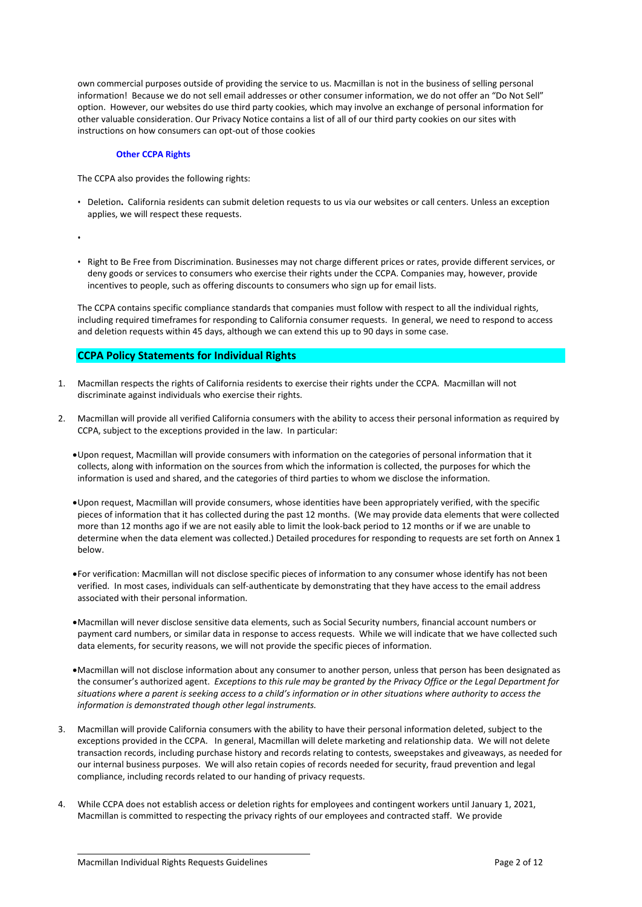own commercial purposes outside of providing the service to us. Macmillan is not in the business of selling personal information! Because we do not sell email addresses or other consumer information, we do not offer an "Do Not Sell" option. However, our websites do use third party cookies, which may involve an exchange of personal information for other valuable consideration. Our Privacy Notice contains a list of all of our third party cookies on our sites with instructions on how consumers can opt-out of those cookies

#### **Other CCPA Rights**

The CCPA also provides the following rights:

- Deletion**.** California residents can submit deletion requests to us via our websites or call centers. Unless an exception applies, we will respect these requests.
- •
- Right to Be Free from Discrimination. Businesses may not charge different prices or rates, provide different services, or deny goods or services to consumers who exercise their rights under the CCPA. Companies may, however, provide incentives to people, such as offering discounts to consumers who sign up for email lists.

The CCPA contains specific compliance standards that companies must follow with respect to all the individual rights, including required timeframes for responding to California consumer requests. In general, we need to respond to access and deletion requests within 45 days, although we can extend this up to 90 days in some case.

# **CCPA Policy Statements for Individual Rights**

- 1. Macmillan respects the rights of California residents to exercise their rights under the CCPA. Macmillan will not discriminate against individuals who exercise their rights.
- 2. Macmillan will provide all verified California consumers with the ability to access their personal information as required by CCPA, subject to the exceptions provided in the law. In particular:
	- •Upon request, Macmillan will provide consumers with information on the categories of personal information that it collects, along with information on the sources from which the information is collected, the purposes for which the information is used and shared, and the categories of third parties to whom we disclose the information.
	- •Upon request, Macmillan will provide consumers, whose identities have been appropriately verified, with the specific pieces of information that it has collected during the past 12 months. (We may provide data elements that were collected more than 12 months ago if we are not easily able to limit the look-back period to 12 months or if we are unable to determine when the data element was collected.) Detailed procedures for responding to requests are set forth on Annex 1 below.
	- •For verification: Macmillan will not disclose specific pieces of information to any consumer whose identify has not been verified. In most cases, individuals can self-authenticate by demonstrating that they have access to the email address associated with their personal information.
	- •Macmillan will never disclose sensitive data elements, such as Social Security numbers, financial account numbers or payment card numbers, or similar data in response to access requests. While we will indicate that we have collected such data elements, for security reasons, we will not provide the specific pieces of information.
	- •Macmillan will not disclose information about any consumer to another person, unless that person has been designated as the consumer's authorized agent. *Exceptions to this rule may be granted by the Privacy Office or the Legal Department for situations where a parent is seeking access to a child's information or in other situations where authority to access the information is demonstrated though other legal instruments.*
- 3. Macmillan will provide California consumers with the ability to have their personal information deleted, subject to the exceptions provided in the CCPA. In general, Macmillan will delete marketing and relationship data. We will not delete transaction records, including purchase history and records relating to contests, sweepstakes and giveaways, as needed for our internal business purposes. We will also retain copies of records needed for security, fraud prevention and legal compliance, including records related to our handing of privacy requests.
- 4. While CCPA does not establish access or deletion rights for employees and contingent workers until January 1, 2021, Macmillan is committed to respecting the privacy rights of our employees and contracted staff. We provide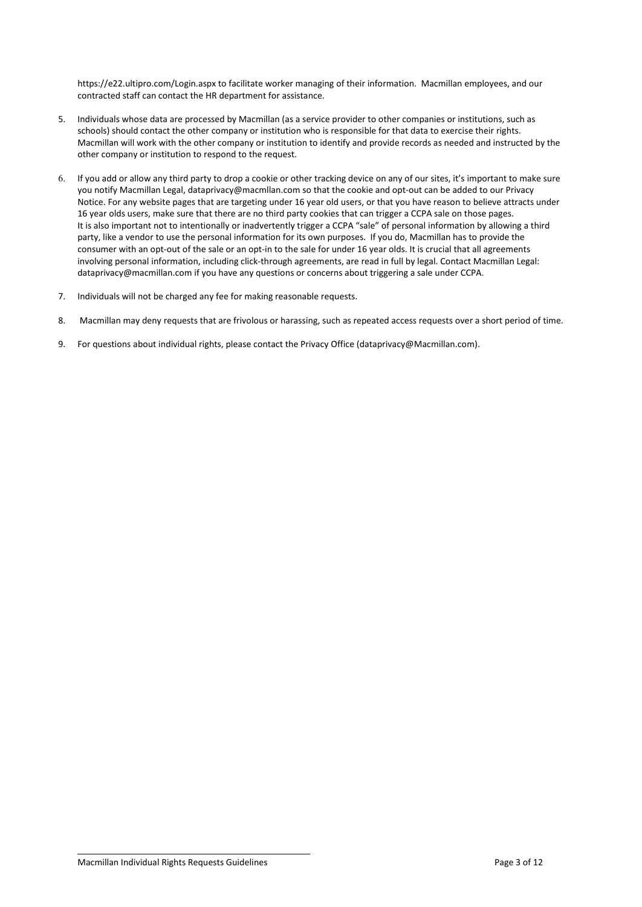https://e22.ultipro.com/Login.aspx to facilitate worker managing of their information. Macmillan employees, and our contracted staff can contact the HR department for assistance.

- 5. Individuals whose data are processed by Macmillan (as a service provider to other companies or institutions, such as schools) should contact the other company or institution who is responsible for that data to exercise their rights. Macmillan will work with the other company or institution to identify and provide records as needed and instructed by the other company or institution to respond to the request.
- 6. If you add or allow any third party to drop a cookie or other tracking device on any of our sites, it's important to make sure you notify Macmillan Legal, dataprivacy@macmllan.com so that the cookie and opt-out can be added to our Privacy Notice. For any website pages that are targeting under 16 year old users, or that you have reason to believe attracts under 16 year olds users, make sure that there are no third party cookies that can trigger a CCPA sale on those pages. It is also important not to intentionally or inadvertently trigger a CCPA "sale" of personal information by allowing a third party, like a vendor to use the personal information for its own purposes. If you do, Macmillan has to provide the consumer with an opt-out of the sale or an opt-in to the sale for under 16 year olds. It is crucial that all agreements involving personal information, including click-through agreements, are read in full by legal. Contact Macmillan Legal: dataprivacy@macmillan.com if you have any questions or concerns about triggering a sale under CCPA.
- 7. Individuals will not be charged any fee for making reasonable requests.
- 8. Macmillan may deny requests that are frivolous or harassing, such as repeated access requests over a short period of time.
- 9. For questions about individual rights, please contact the Privacy Office (dataprivacy@Macmillan.com).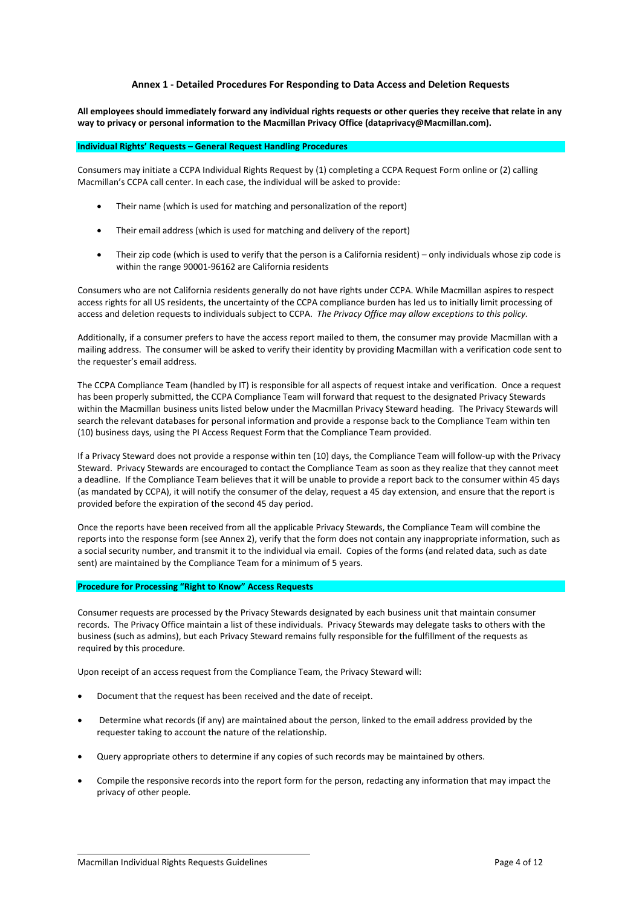## **Annex 1 - Detailed Procedures For Responding to Data Access and Deletion Requests**

**All employees should immediately forward any individual rights requests or other queries they receive that relate in any way to privacy or personal information to the Macmillan Privacy Office (dataprivacy@Macmillan.com).**

#### **Individual Rights' Requests – General Request Handling Procedures**

Consumers may initiate a CCPA Individual Rights Request by (1) completing a CCPA Request Form online or (2) calling Macmillan's CCPA call center. In each case, the individual will be asked to provide:

- Their name (which is used for matching and personalization of the report)
- Their email address (which is used for matching and delivery of the report)
- Their zip code (which is used to verify that the person is a California resident) only individuals whose zip code is within the range 90001-96162 are California residents

Consumers who are not California residents generally do not have rights under CCPA. While Macmillan aspires to respect access rights for all US residents, the uncertainty of the CCPA compliance burden has led us to initially limit processing of access and deletion requests to individuals subject to CCPA. *The Privacy Office may allow exceptions to this policy.* 

Additionally, if a consumer prefers to have the access report mailed to them, the consumer may provide Macmillan with a mailing address. The consumer will be asked to verify their identity by providing Macmillan with a verification code sent to the requester's email address.

The CCPA Compliance Team (handled by IT) is responsible for all aspects of request intake and verification. Once a request has been properly submitted, the CCPA Compliance Team will forward that request to the designated Privacy Stewards within the Macmillan business units listed below under the Macmillan Privacy Steward heading. The Privacy Stewards will search the relevant databases for personal information and provide a response back to the Compliance Team within ten (10) business days, using the PI Access Request Form that the Compliance Team provided.

If a Privacy Steward does not provide a response within ten (10) days, the Compliance Team will follow-up with the Privacy Steward. Privacy Stewards are encouraged to contact the Compliance Team as soon as they realize that they cannot meet a deadline. If the Compliance Team believes that it will be unable to provide a report back to the consumer within 45 days (as mandated by CCPA), it will notify the consumer of the delay, request a 45 day extension, and ensure that the report is provided before the expiration of the second 45 day period.

Once the reports have been received from all the applicable Privacy Stewards, the Compliance Team will combine the reports into the response form (see Annex 2), verify that the form does not contain any inappropriate information, such as a social security number, and transmit it to the individual via email. Copies of the forms (and related data, such as date sent) are maintained by the Compliance Team for a minimum of 5 years.

### **Procedure for Processing "Right to Know" Access Requests**

Consumer requests are processed by the Privacy Stewards designated by each business unit that maintain consumer records. The Privacy Office maintain a list of these individuals. Privacy Stewards may delegate tasks to others with the business (such as admins), but each Privacy Steward remains fully responsible for the fulfillment of the requests as required by this procedure.

Upon receipt of an access request from the Compliance Team, the Privacy Steward will:

- Document that the request has been received and the date of receipt.
- Determine what records (if any) are maintained about the person, linked to the email address provided by the requester taking to account the nature of the relationship.
- Query appropriate others to determine if any copies of such records may be maintained by others.
- Compile the responsive records into the report form for the person, redacting any information that may impact the privacy of other people*.*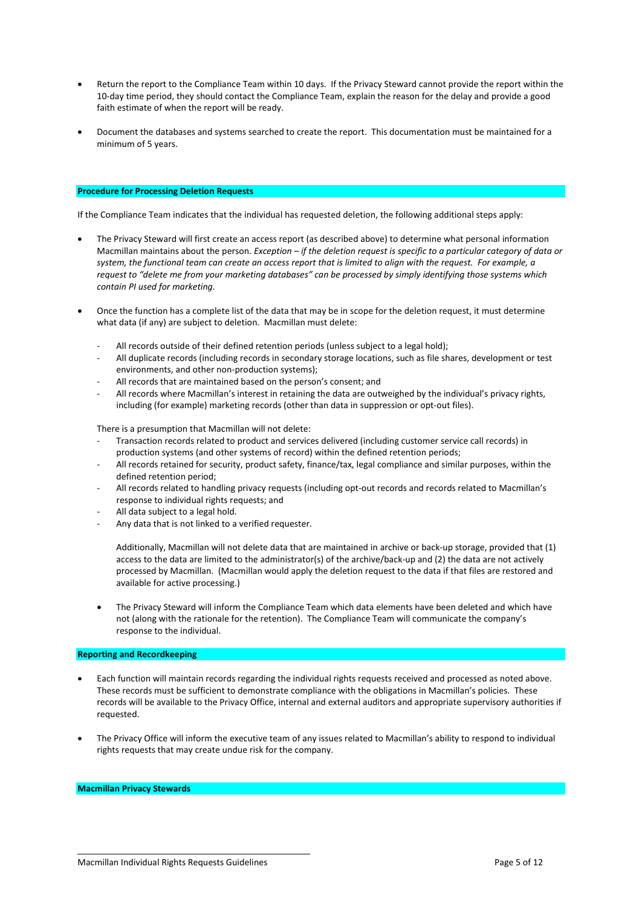- Return the report to the Compliance Team within 10 days. If the Privacy Steward cannot provide the report within the 10-day time period, they should contact the Compliance Team, explain the reason for the delay and provide a good faith estimate of when the report will be ready.
- Document the databases and systems searched to create the report. This documentation must be maintained for a minimum of 5 years.

## **Procedure for Processing Deletion Requests**

If the Compliance Team indicates that the individual has requested deletion, the following additional steps apply:

- The Privacy Steward will first create an access report (as described above) to determine what personal information Macmillan maintains about the person. *Exception – if the deletion request is specific to a particular category of data or system, the functional team can create an access report that is limited to align with the request. For example, a request to "delete me from your marketing databases" can be processed by simply identifying those systems which contain PI used for marketing.*
- Once the function has a complete list of the data that may be in scope for the deletion request, it must determine what data (if any) are subject to deletion. Macmillan must delete:
	- All records outside of their defined retention periods (unless subject to a legal hold);
	- All duplicate records (including records in secondary storage locations, such as file shares, development or test environments, and other non-production systems);
	- All records that are maintained based on the person's consent; and
	- All records where Macmillan's interest in retaining the data are outweighed by the individual's privacy rights, including (for example) marketing records (other than data in suppression or opt-out files).

There is a presumption that Macmillan will not delete:

- Transaction records related to product and services delivered (including customer service call records) in production systems (and other systems of record) within the defined retention periods;
- All records retained for security, product safety, finance/tax, legal compliance and similar purposes, within the defined retention period;
- All records related to handling privacy requests (including opt-out records and records related to Macmillan's response to individual rights requests; and
- All data subject to a legal hold.
- Any data that is not linked to a verified requester.

Additionally, Macmillan will not delete data that are maintained in archive or back-up storage, provided that (1) access to the data are limited to the administrator(s) of the archive/back-up and (2) the data are not actively processed by Macmillan. (Macmillan would apply the deletion request to the data if that files are restored and available for active processing.)

• The Privacy Steward will inform the Compliance Team which data elements have been deleted and which have not (along with the rationale for the retention). The Compliance Team will communicate the company's response to the individual.

## **Reporting and Recordkeeping**

- Each function will maintain records regarding the individual rights requests received and processed as noted above. These records must be sufficient to demonstrate compliance with the obligations in Macmillan's policies. These records will be available to the Privacy Office, internal and external auditors and appropriate supervisory authorities if requested.
- The Privacy Office will inform the executive team of any issues related to Macmillan's ability to respond to individual rights requests that may create undue risk for the company.

## **Macmillan Privacy Stewards**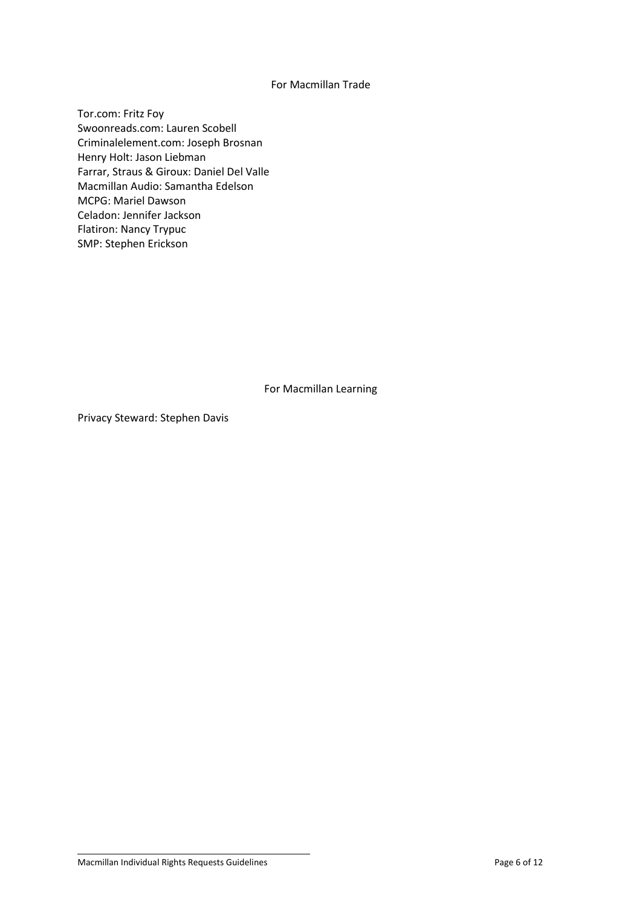# For Macmillan Trade

Tor.com: Fritz Foy Swoonreads.com: Lauren Scobell Criminalelement.com: Joseph Brosnan Henry Holt: Jason Liebman Farrar, Straus & Giroux: Daniel Del Valle Macmillan Audio: Samantha Edelson MCPG: Mariel Dawson Celadon: Jennifer Jackson Flatiron: Nancy Trypuc SMP: Stephen Erickson

For Macmillan Learning

Privacy Steward: Stephen Davis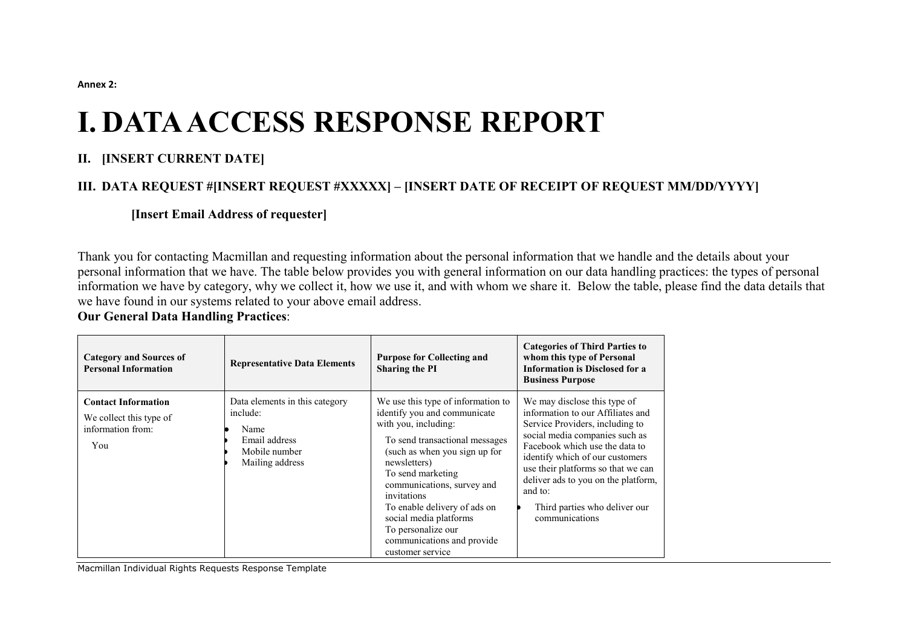**Annex 2:** 

# **I. DATA ACCESS RESPONSE REPORT**

# **II. [INSERT CURRENT DATE]**

# **III. DATA REQUEST #[INSERT REQUEST #XXXXX] – [INSERT DATE OF RECEIPT OF REQUEST MM/DD/YYYY]**

# **[Insert Email Address of requester]**

Thank you for contacting Macmillan and requesting information about the personal information that we handle and the details about your personal information that we have. The table below provides you with general information on our data handling practices: the types of personal information we have by category, why we collect it, how we use it, and with whom we share it. Below the table, please find the data details that we have found in our systems related to your above email address.

# **Our General Data Handling Practices**:

| <b>Category and Sources of</b><br><b>Personal Information</b>                     | <b>Representative Data Elements</b>                                                                     | <b>Purpose for Collecting and</b><br><b>Sharing the PI</b>                                                                                                                                                                                                                                                                                                                        | <b>Categories of Third Parties to</b><br>whom this type of Personal<br><b>Information is Disclosed for a</b><br><b>Business Purpose</b>                                                                                                                                                                                                                |
|-----------------------------------------------------------------------------------|---------------------------------------------------------------------------------------------------------|-----------------------------------------------------------------------------------------------------------------------------------------------------------------------------------------------------------------------------------------------------------------------------------------------------------------------------------------------------------------------------------|--------------------------------------------------------------------------------------------------------------------------------------------------------------------------------------------------------------------------------------------------------------------------------------------------------------------------------------------------------|
| <b>Contact Information</b><br>We collect this type of<br>information from:<br>You | Data elements in this category<br>include:<br>Name<br>Email address<br>Mobile number<br>Mailing address | We use this type of information to<br>identify you and communicate<br>with you, including:<br>To send transactional messages<br>(such as when you sign up for<br>newsletters)<br>To send marketing<br>communications, survey and<br>invitations<br>To enable delivery of ads on<br>social media platforms<br>To personalize our<br>communications and provide<br>customer service | We may disclose this type of<br>information to our Affiliates and<br>Service Providers, including to<br>social media companies such as<br>Facebook which use the data to<br>identify which of our customers<br>use their platforms so that we can<br>deliver ads to you on the platform,<br>and to:<br>Third parties who deliver our<br>communications |

Macmillan Individual Rights Requests Response Template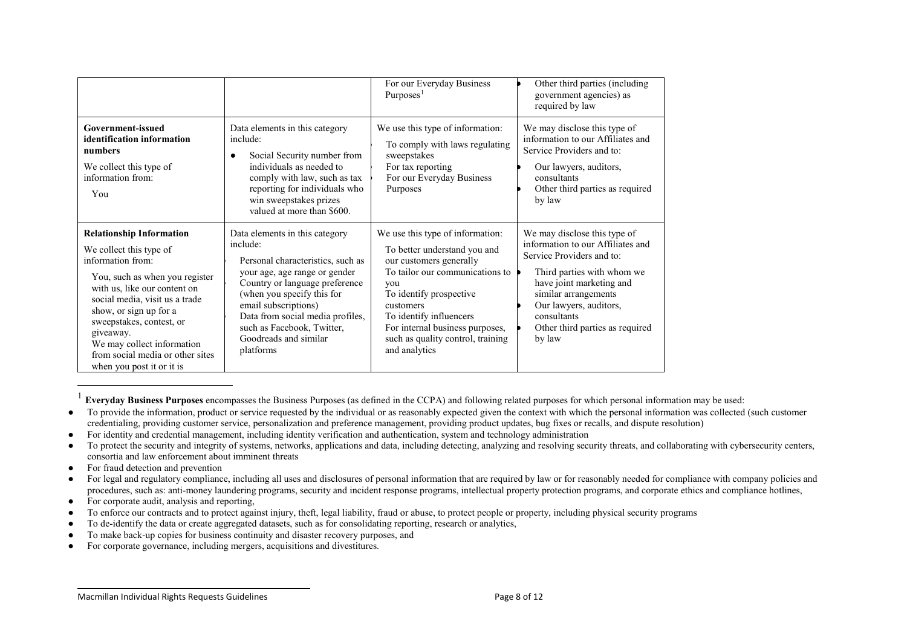<span id="page-7-0"></span>

|                                                                                                                                                                                                                                                                                                                                                       |                                                                                                                                                                                                                                                                                                                  | For our Everyday Business<br>Purposes $1$                                                                                                                                                                                                                                                         | Other third parties (including<br>government agencies) as<br>required by law                                                                                                                                                                                           |
|-------------------------------------------------------------------------------------------------------------------------------------------------------------------------------------------------------------------------------------------------------------------------------------------------------------------------------------------------------|------------------------------------------------------------------------------------------------------------------------------------------------------------------------------------------------------------------------------------------------------------------------------------------------------------------|---------------------------------------------------------------------------------------------------------------------------------------------------------------------------------------------------------------------------------------------------------------------------------------------------|------------------------------------------------------------------------------------------------------------------------------------------------------------------------------------------------------------------------------------------------------------------------|
| Government-issued<br>identification information<br>numbers<br>We collect this type of<br>information from:<br>You                                                                                                                                                                                                                                     | Data elements in this category<br>include:<br>Social Security number from<br>٠<br>individuals as needed to<br>comply with law, such as tax<br>reporting for individuals who<br>win sweepstakes prizes<br>valued at more than \$600.                                                                              | We use this type of information:<br>To comply with laws regulating<br>sweepstakes<br>For tax reporting<br>For our Everyday Business<br>Purposes                                                                                                                                                   | We may disclose this type of<br>information to our Affiliates and<br>Service Providers and to:<br>Our lawyers, auditors,<br>consultants<br>Other third parties as required<br>by law                                                                                   |
| <b>Relationship Information</b><br>We collect this type of<br>information from:<br>You, such as when you register<br>with us, like our content on<br>social media, visit us a trade<br>show, or sign up for a<br>sweepstakes, contest, or<br>giveaway.<br>We may collect information<br>from social media or other sites<br>when you post it or it is | Data elements in this category<br>include:<br>Personal characteristics, such as<br>your age, age range or gender<br>Country or language preference<br>(when you specify this for<br>email subscriptions)<br>Data from social media profiles,<br>such as Facebook, Twitter,<br>Goodreads and similar<br>platforms | We use this type of information:<br>To better understand you and<br>our customers generally<br>To tailor our communications to<br>you<br>To identify prospective<br>customers<br>To identify influencers<br>For internal business purposes,<br>such as quality control, training<br>and analytics | We may disclose this type of<br>information to our Affiliates and<br>Service Providers and to:<br>Third parties with whom we<br>have joint marketing and<br>similar arrangements<br>Our lawyers, auditors,<br>consultants<br>Other third parties as required<br>by law |

1 **Everyday Business Purposes** encompasses the Business Purposes (as defined in the CCPA) and following related purposes for which personal information may be used:

- To provide the information, product or service requested by the individual or as reasonably expected given the context with which the personal information was collected (such customer credentialing, providing customer service, personalization and preference management, providing product updates, bug fixes or recalls, and dispute resolution)
- For identity and credential management, including identity verification and authentication, system and technology administration
- To protect the security and integrity of systems, networks, applications and data, including detecting, analyzing and resolving security threats, and collaborating with cybersecurity centers, consortia and law enforcement about imminent threats
- For fraud detection and prevention
- For legal and regulatory compliance, including all uses and disclosures of personal information that are required by law or for reasonably needed for compliance with company policies and procedures, such as: anti-money laundering programs, security and incident response programs, intellectual property protection programs, and corporate ethics and compliance hotlines,
- For corporate audit, analysis and reporting,
- To enforce our contracts and to protect against injury, theft, legal liability, fraud or abuse, to protect people or property, including physical security programs
- To de-identify the data or create aggregated datasets, such as for consolidating reporting, research or analytics,
- To make back-up copies for business continuity and disaster recovery purposes, and
- For corporate governance, including mergers, acquisitions and divestitures.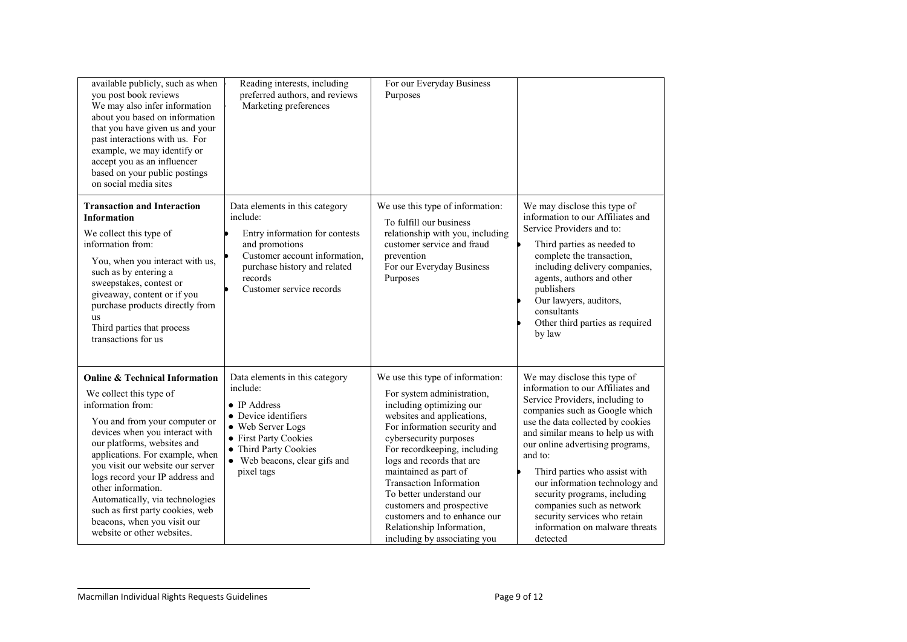| available publicly, such as when<br>you post book reviews<br>We may also infer information<br>about you based on information<br>that you have given us and your<br>past interactions with us. For<br>example, we may identify or<br>accept you as an influencer<br>based on your public postings<br>on social media sites                                                                                                                                       | Reading interests, including<br>preferred authors, and reviews<br>Marketing preferences                                                                                                                  | For our Everyday Business<br>Purposes                                                                                                                                                                                                                                                                                                                                                                                                                            |                                                                                                                                                                                                                                                                                                                                                                                                                                                                               |
|-----------------------------------------------------------------------------------------------------------------------------------------------------------------------------------------------------------------------------------------------------------------------------------------------------------------------------------------------------------------------------------------------------------------------------------------------------------------|----------------------------------------------------------------------------------------------------------------------------------------------------------------------------------------------------------|------------------------------------------------------------------------------------------------------------------------------------------------------------------------------------------------------------------------------------------------------------------------------------------------------------------------------------------------------------------------------------------------------------------------------------------------------------------|-------------------------------------------------------------------------------------------------------------------------------------------------------------------------------------------------------------------------------------------------------------------------------------------------------------------------------------------------------------------------------------------------------------------------------------------------------------------------------|
| <b>Transaction and Interaction</b><br><b>Information</b><br>We collect this type of<br>information from:<br>You, when you interact with us,<br>such as by entering a<br>sweepstakes, contest or<br>giveaway, content or if you<br>purchase products directly from<br>11S<br>Third parties that process<br>transactions for us                                                                                                                                   | Data elements in this category<br>include:<br>Entry information for contests<br>and promotions<br>Customer account information,<br>purchase history and related<br>records<br>Customer service records   | We use this type of information:<br>To fulfill our business<br>relationship with you, including<br>customer service and fraud<br>prevention<br>For our Everyday Business<br>Purposes                                                                                                                                                                                                                                                                             | We may disclose this type of<br>information to our Affiliates and<br>Service Providers and to:<br>Third parties as needed to<br>complete the transaction,<br>including delivery companies,<br>agents, authors and other<br>publishers<br>Our lawyers, auditors,<br>consultants<br>Other third parties as required<br>by law                                                                                                                                                   |
| <b>Online &amp; Technical Information</b><br>We collect this type of<br>information from:<br>You and from your computer or<br>devices when you interact with<br>our platforms, websites and<br>applications. For example, when<br>you visit our website our server<br>logs record your IP address and<br>other information.<br>Automatically, via technologies<br>such as first party cookies, web<br>beacons, when you visit our<br>website or other websites. | Data elements in this category<br>include:<br>• IP Address<br>• Device identifiers<br>· Web Server Logs<br>• First Party Cookies<br>• Third Party Cookies<br>• Web beacons, clear gifs and<br>pixel tags | We use this type of information:<br>For system administration,<br>including optimizing our<br>websites and applications,<br>For information security and<br>cybersecurity purposes<br>For recordkeeping, including<br>logs and records that are<br>maintained as part of<br><b>Transaction Information</b><br>To better understand our<br>customers and prospective<br>customers and to enhance our<br>Relationship Information,<br>including by associating you | We may disclose this type of<br>information to our Affiliates and<br>Service Providers, including to<br>companies such as Google which<br>use the data collected by cookies<br>and similar means to help us with<br>our online advertising programs,<br>and to:<br>Third parties who assist with<br>our information technology and<br>security programs, including<br>companies such as network<br>security services who retain<br>information on malware threats<br>detected |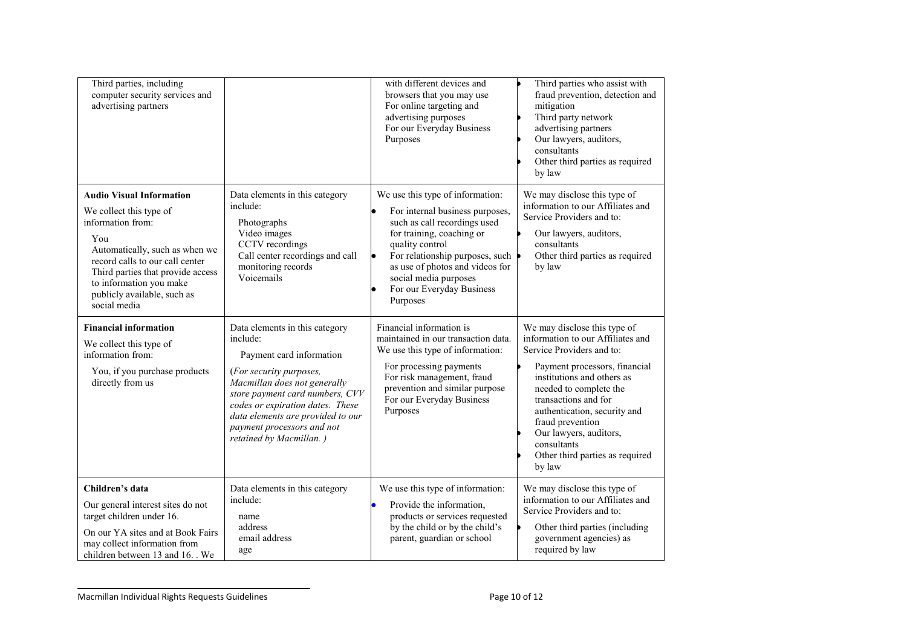| Third parties, including<br>computer security services and<br>advertising partners                                                                                                                                                                                         |                                                                                                                                                                                                                                                                                                        | with different devices and<br>browsers that you may use<br>For online targeting and<br>advertising purposes<br>For our Everyday Business<br>Purposes                                                                                                                                        | Third parties who assist with<br>fraud prevention, detection and<br>mitigation<br>Third party network<br>advertising partners<br>Our lawyers, auditors,<br>consultants<br>Other third parties as required<br>by law                                                                                                                                       |
|----------------------------------------------------------------------------------------------------------------------------------------------------------------------------------------------------------------------------------------------------------------------------|--------------------------------------------------------------------------------------------------------------------------------------------------------------------------------------------------------------------------------------------------------------------------------------------------------|---------------------------------------------------------------------------------------------------------------------------------------------------------------------------------------------------------------------------------------------------------------------------------------------|-----------------------------------------------------------------------------------------------------------------------------------------------------------------------------------------------------------------------------------------------------------------------------------------------------------------------------------------------------------|
| <b>Audio Visual Information</b><br>We collect this type of<br>information from:<br>You<br>Automatically, such as when we<br>record calls to our call center<br>Third parties that provide access<br>to information you make<br>publicly available, such as<br>social media | Data elements in this category<br>include:<br>Photographs<br>Video images<br>CCTV recordings<br>Call center recordings and call<br>monitoring records<br>Voicemails                                                                                                                                    | We use this type of information:<br>For internal business purposes,<br>such as call recordings used<br>for training, coaching or<br>quality control<br>For relationship purposes, such<br>as use of photos and videos for<br>social media purposes<br>For our Everyday Business<br>Purposes | We may disclose this type of<br>information to our Affiliates and<br>Service Providers and to:<br>Our lawyers, auditors,<br>consultants<br>Other third parties as required<br>by law                                                                                                                                                                      |
| <b>Financial information</b><br>We collect this type of<br>information from:<br>You, if you purchase products<br>directly from us                                                                                                                                          | Data elements in this category<br>include:<br>Payment card information<br>(For security purposes,<br>Macmillan does not generally<br>store payment card numbers, CVV<br>codes or expiration dates. These<br>data elements are provided to our<br>payment processors and not<br>retained by Macmillan.) | Financial information is<br>maintained in our transaction data.<br>We use this type of information:<br>For processing payments<br>For risk management, fraud<br>prevention and similar purpose<br>For our Everyday Business<br>Purposes                                                     | We may disclose this type of<br>information to our Affiliates and<br>Service Providers and to:<br>Payment processors, financial<br>institutions and others as<br>needed to complete the<br>transactions and for<br>authentication, security and<br>fraud prevention<br>Our lawyers, auditors,<br>consultants<br>Other third parties as required<br>by law |
| Children's data<br>Our general interest sites do not<br>target children under 16.<br>On our YA sites and at Book Fairs<br>may collect information from<br>children between 13 and 16. . We                                                                                 | Data elements in this category<br>include:<br>name<br>address<br>email address<br>age                                                                                                                                                                                                                  | We use this type of information:<br>Provide the information,<br>products or services requested<br>by the child or by the child's<br>parent, guardian or school                                                                                                                              | We may disclose this type of<br>information to our Affiliates and<br>Service Providers and to:<br>Other third parties (including<br>government agencies) as<br>required by law                                                                                                                                                                            |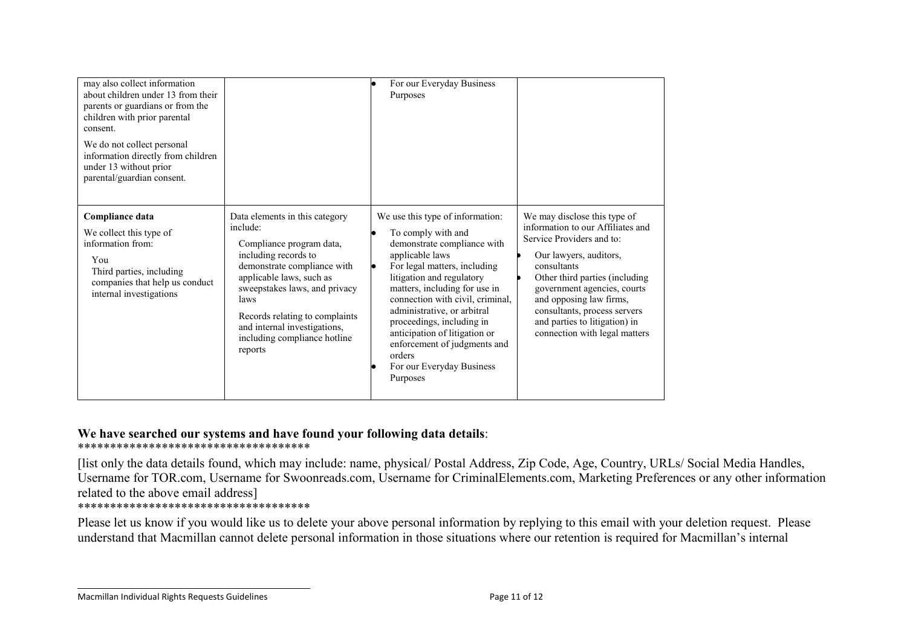| may also collect information<br>about children under 13 from their<br>parents or guardians or from the<br>children with prior parental<br>consent.<br>We do not collect personal<br>information directly from children<br>under 13 without prior<br>parental/guardian consent. |                                                                                                                                                                                                                                                                                                                 | For our Everyday Business<br>Purposes                                                                                                                                                                                                                                                                                                                                                                                      |                                                                                                                                                                                                                                                                                                                                       |
|--------------------------------------------------------------------------------------------------------------------------------------------------------------------------------------------------------------------------------------------------------------------------------|-----------------------------------------------------------------------------------------------------------------------------------------------------------------------------------------------------------------------------------------------------------------------------------------------------------------|----------------------------------------------------------------------------------------------------------------------------------------------------------------------------------------------------------------------------------------------------------------------------------------------------------------------------------------------------------------------------------------------------------------------------|---------------------------------------------------------------------------------------------------------------------------------------------------------------------------------------------------------------------------------------------------------------------------------------------------------------------------------------|
| Compliance data<br>We collect this type of<br>information from:<br>You<br>Third parties, including<br>companies that help us conduct<br>internal investigations                                                                                                                | Data elements in this category<br>include:<br>Compliance program data,<br>including records to<br>demonstrate compliance with<br>applicable laws, such as<br>sweepstakes laws, and privacy<br>laws<br>Records relating to complaints<br>and internal investigations,<br>including compliance hotline<br>reports | We use this type of information:<br>To comply with and<br>demonstrate compliance with<br>applicable laws<br>For legal matters, including<br>litigation and regulatory<br>matters, including for use in<br>connection with civil, criminal,<br>administrative, or arbitral<br>proceedings, including in<br>anticipation of litigation or<br>enforcement of judgments and<br>orders<br>For our Everyday Business<br>Purposes | We may disclose this type of<br>information to our Affiliates and<br>Service Providers and to:<br>Our lawyers, auditors,<br>consultants<br>Other third parties (including<br>government agencies, courts<br>and opposing law firms,<br>consultants, process servers<br>and parties to litigation) in<br>connection with legal matters |

# **We have searched our systems and have found your following data details**: \*\*\*\*\*\*\*\*\*\*\*\*\*\*\*\*\*\*\*\*\*\*\*\*\*\*\*\*\*\*\*\*\*\*\*\*

[list only the data details found, which may include: name, physical/ Postal Address, Zip Code, Age, Country, URLs/ Social Media Handles, Username for TOR.com, Username for Swoonreads.com, Username for CriminalElements.com, Marketing Preferences or any other information related to the above email address]

# \*\*\*\*\*\*\*\*\*\*\*\*\*\*\*\*\*\*\*\*\*\*\*\*\*\*\*\*\*\*\*\*\*\*\*\*

Please let us know if you would like us to delete your above personal information by replying to this email with your deletion request. Please understand that Macmillan cannot delete personal information in those situations where our retention is required for Macmillan's internal